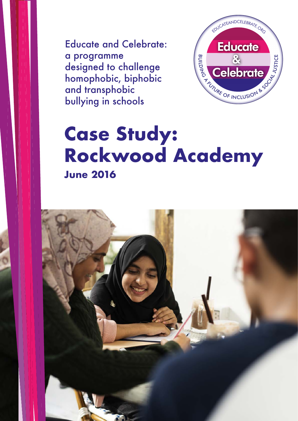Educate and Celebrate: a programme designed to challenge homophobic, biphobic and transphobic bullying in schools



# **Case Study: Rockwood Academy June 2016**

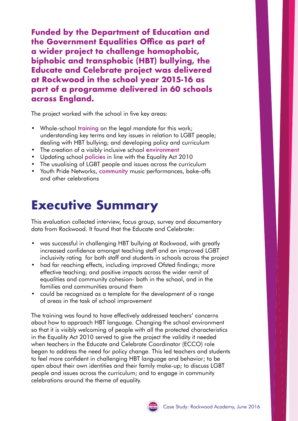**Funded by the Department of Education and the Government Equalities Office as part of a wider project to challenge homophobic, biphobic and transphobic (HBT) bullying, the Educate and Celebrate project was delivered at Rockwood in the school year 2015-16 as part of a programme delivered in 60 schools across England.**

The project worked with the school in five key areas:

- Whole-school training on the legal mandate for this work; understanding key terms and key issues in relation to LGBT people; dealing with HBT bullying; and developing policy and curriculum
- The creation of a visibly inclusive school environment
- Updating school **policies** in line with the Equality Act 2010
- The usualising of LGBT people and issues across the curriculum
- Youth Pride Networks, community music performances, bake-offs and other celebrations

## **Executive Summary**

This evaluation collected interview, focus group, survey and documentary data from Rockwood. It found that the Educate and Celebrate:

- was successful in challenging HBT bullying at Rockwood, with greatly increased confidence amongst teaching staff and an improved LGBT inclusivity rating for both staff and students in schools across the project
- had far reaching effects, including improved Ofsted findings; more effective teaching; and positive impacts across the wider remit of equalities and community cohesion- both in the school, and in the families and communities around them
- could be recognized as a template for the development of a range of areas in the task of school improvement

The training was found to have effectively addressed teachers' concerns about how to approach HBT language. Changing the school environment so that it is visibly welcoming of people with all the protected characteristics in the Equality Act 2010 served to give the project the validity it needed when teachers in the Educate and Celebrate Coordinator (ECCO) role began to address the need for policy change. This led teachers and students to feel more confident in challenging HBT language and behavior; to be open about their own identities and their family make-up; to discuss LGBT people and issues across the curriculum; and to engage in community celebrations around the theme of equality.

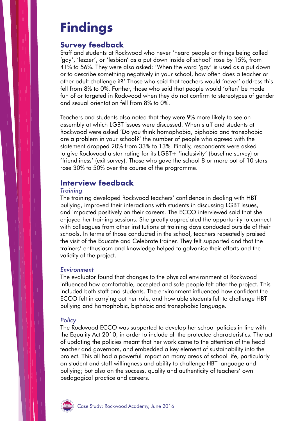# **Findings**

### **Survey feedback**

Staff and students at Rockwood who never 'heard people or things being called 'gay', 'lezzer', or 'lesbian' as a put down inside of school' rose by 15%, from 41% to 56%. They were also asked: 'When the word 'gay' is used as a put down or to describe something negatively in your school, how often does a teacher or other adult challenge it?' Those who said that teachers would 'never' address this fell from 8% to 0%. Further, those who said that people would 'often' be made fun of or targeted in Rockwood when they do not confirm to stereotypes of gender and sexual orientation fell from 8% to 0%.

Teachers and students also noted that they were 9% more likely to see an assembly at which LGBT issues were discussed. When staff and students at Rockwood were asked 'Do you think homophobia, biphobia and transphobia are a problem in your school?' the number of people who agreed with the statement dropped 20% from 33% to 13%. Finally, respondents were asked to give Rockwood a star rating for its LGBT+ 'inclusivity' (baseline survey) or 'friendliness' (exit survey). Those who gave the school 8 or more out of 10 stars rose 30% to 50% over the course of the programme.

### **Interview feedback**

#### *Training*

The training developed Rockwood teachers' confidence in dealing with HBT bullying, improved their interactions with students in discussing LGBT issues, and impacted positively on their careers. The ECCO interviewed said that she enjoyed her training sessions. She greatly appreciated the opportunity to connect with colleagues from other institutions at training days conducted outside of their schools. In terms of those conducted in the school, teachers repeatedly praised the visit of the Educate and Celebrate trainer. They felt supported and that the trainers' enthusiasm and knowledge helped to galvanise their efforts and the validity of the project.

#### *Environment*

The evaluator found that changes to the physical environment at Rockwood influenced how comfortable, accepted and safe people felt after the project. This included both staff and students. The environment influenced how confident the ECCO felt in carrying out her role, and how able students felt to challenge HBT bullying and homophobic, biphobic and transphobic language.

#### *Policy*

The Rockwood ECCO was supported to develop her school policies in line with the Equality Act 2010, in order to include all the protected characteristics. The act of updating the policies meant that her work came to the attention of the head teacher and governors, and embedded a key element of sustainability into the project. This all had a powerful impact on many areas of school life, particularly on student and staff willingness and ability to challenge HBT language and bullying; but also on the success, quality and authenticity of teachers' own pedagogical practice and careers.